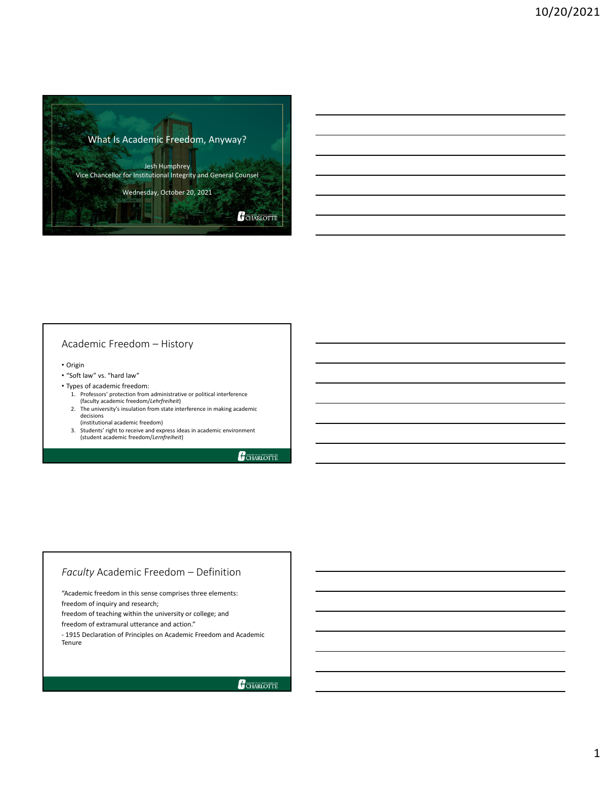

## Academic Freedom – History

- Origin
- "Soft law" vs. "hard law"
- Types of academic freedom:
	- 1. Professors' protection from administrative or political interference (faculty academic freedom/*Lehrfreiheit*)
	- 2. The university's insulation from state interference in making academic decisions (institutional academic freedom)
	- 3. Students' right to receive and express ideas in academic environment (student academic freedom/*Lernfreiheit*)

**CHARLOTTE** 

## *Faculty* Academic Freedom – Definition

"Academic freedom in this sense comprises three elements:

freedom of inquiry and research;

freedom of teaching within the university or college; and

freedom of extramural utterance and action."

*‐* 1915 Declaration of Principles on Academic Freedom and Academic Tenure

CHARLOTTE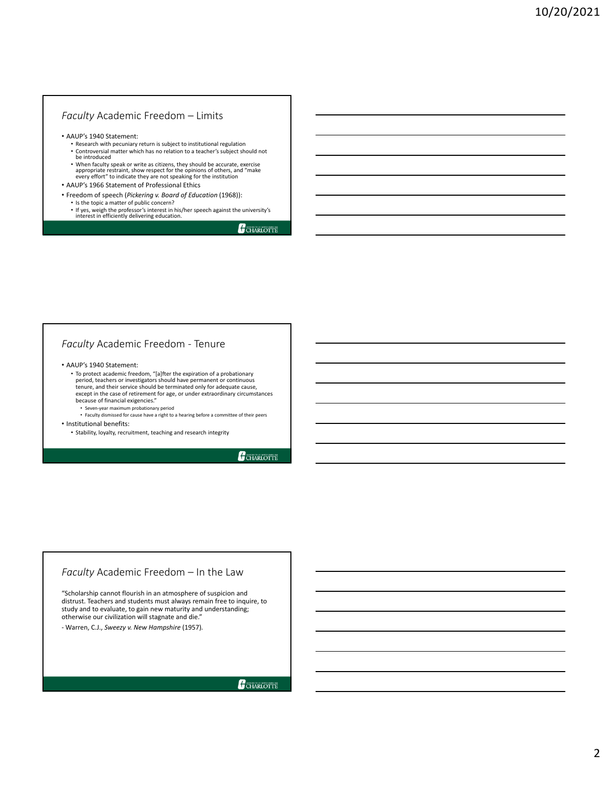#### *Faculty* Academic Freedom – Limits

• AAUP's 1940 Statement:

- Research with pecuniary return is subject to institutional regulation • Controversial matter which has no relation to <sup>a</sup> teacher's subject should not be introduced
- When faculty speak or write as citizens, they should be accurate, exercise appropriate restraint, show respect for the opinions of others, and "make every effort" to indicate they are not speaking for the institution
- AAUP's 1966 Statement of Professional Ethics
- Freedom of speech (*Pickering v. Board of Education* (1968)):
	- Is the topic a matter of public concern?
	- If yes, weigh the professor's interest in his/her speech against the university's interest in efficiently delivering education.

CHARLOTTE

## *Faculty* Academic Freedom ‐ Tenure

#### • AAUP's 1940 Statement:

• To protect academic freedom, "[a]fter the expiration of a probationary period, teachers or investigators should have permanent or continuous tenure, and their service should be terminated only for adequate cause, except in the case of retirement for age, or under extraordinary circumstances because of financial exigencies."

- Seven‐year maximum probationary period Faculty dismissed for cause have a right to a hearing before a committee of their peers
- Institutional benefits:
	- Stability, loyalty, recruitment, teaching and research integrity

GCHARLOTTE

## *Faculty* Academic Freedom – In the Law

"Scholarship cannot flourish in an atmosphere of suspicion and distrust. Teachers and students must always remain free to inquire, to study and to evaluate, to gain new maturity and understanding; otherwise our civilization will stagnate and die."

*‐* Warren, C.J., *Sweezy v. New Hampshire* (1957)*.*

GCHARLOTTE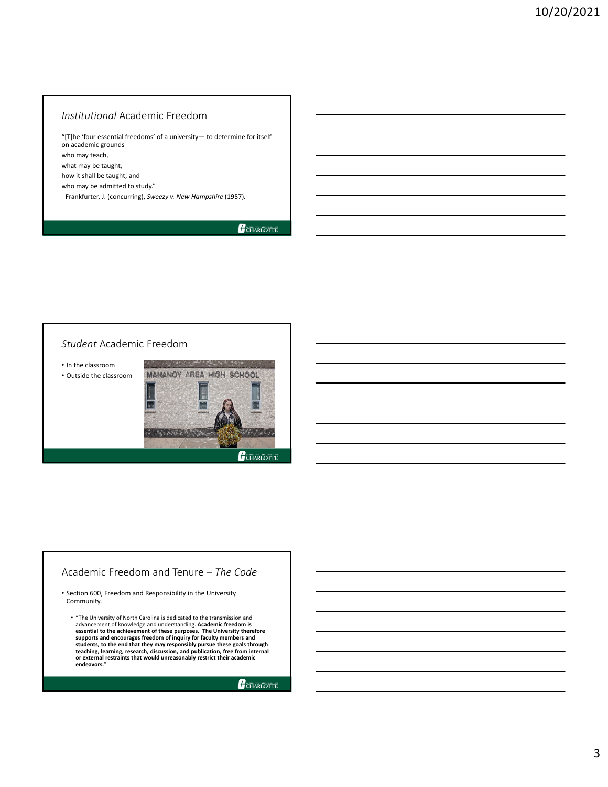## *Institutional* Academic Freedom

"[T]he 'four essential freedoms' of a university— to determine for itself on academic grounds who may teach, what may be taught, how it shall be taught, and who may be admitted to study." *‐* Frankfurter, J. (concurring), *Sweezy v. New Hampshire* (1957)*.*

CHARLOTTE

#### *Student* Academic Freedom

• In the classroom • Outside the classroom



## Academic Freedom and Tenure – *The Code*

• Section 600, Freedom and Responsibility in the University Community.

• "The University of North Carolina is dedicated to the transmission and<br>advancement of knowledge and understanding. Academic freedom is<br>essential to the achievement of these purposes. The University therefore<br>supports and students, to the end that they may responsibly pursue these goals through<br>teaching, learning, research, discussion, and publication, free from internal<br>or external restraints that would unreasonably restrict their academic **endeavors.**"

GCHARLOTTE